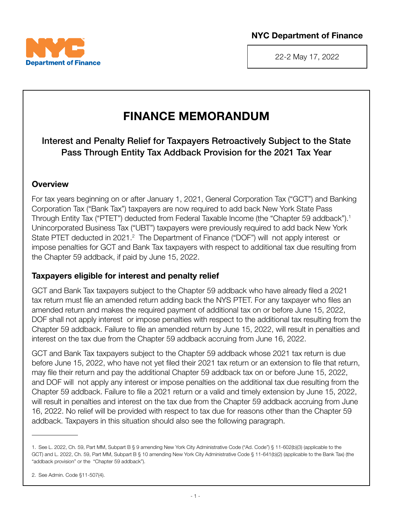



22-2 May 17, 2022

# FINANCE MEMORANDUM

Interest and Penalty Relief for Taxpayers Retroactively Subject to the State Pass Through Entity Tax Addback Provision for the 2021 Tax Year

## **Overview**

For tax years beginning on or after January 1, 2021, General Corporation Tax ("GCT") and Banking Corporation Tax ("Bank Tax") taxpayers are now required to add back New York State Pass Through Entity Tax ("PTET") deducted from Federal Taxable Income (the "Chapter 59 addback").1 Unincorporated Business Tax ("UBT") taxpayers were previously required to add back New York State PTET deducted in 2021.<sup>2</sup> The Department of Finance ("DOF") will not apply interest or impose penalties for GCT and Bank Tax taxpayers with respect to additional tax due resulting from the Chapter 59 addback, if paid by June 15, 2022.

## Taxpayers eligible for interest and penalty relief

GCT and Bank Tax taxpayers subject to the Chapter 59 addback who have already filed a 2021 tax return must file an amended return adding back the NYS PTET. For any taxpayer who files an amended return and makes the required payment of additional tax on or before June 15, 2022, DOF shall not apply interest or impose penalties with respect to the additional tax resulting from the Chapter 59 addback. Failure to file an amended return by June 15, 2022, will result in penalties and interest on the tax due from the Chapter 59 addback accruing from June 16, 2022.

GCT and Bank Tax taxpayers subject to the Chapter 59 addback whose 2021 tax return is due before June 15, 2022, who have not yet filed their 2021 tax return or an extension to file that return, may file their return and pay the additional Chapter 59 addback tax on or before June 15, 2022, and DOF will not apply any interest or impose penalties on the additional tax due resulting from the Chapter 59 addback. Failure to file a 2021 return or a valid and timely extension by June 15, 2022, will result in penalties and interest on the tax due from the Chapter 59 addback accruing from June 16, 2022. No relief will be provided with respect to tax due for reasons other than the Chapter 59 addback. Taxpayers in this situation should also see the following paragraph.

<sup>1.</sup> See L. 2022, Ch. 59, Part MM, Subpart B § 9 amending New York City Administrative Code ("Ad. Code") § 11-602(b)(3) (applicable to the GCT) and L. 2022, Ch. 59, Part MM, Subpart B § 10 amending New York City Administrative Code § 11-641(b)(2) (applicable to the Bank Tax) (the "addback provision" or the "Chapter 59 addback").

<sup>2.</sup> See Admin. Code §11-507(4).